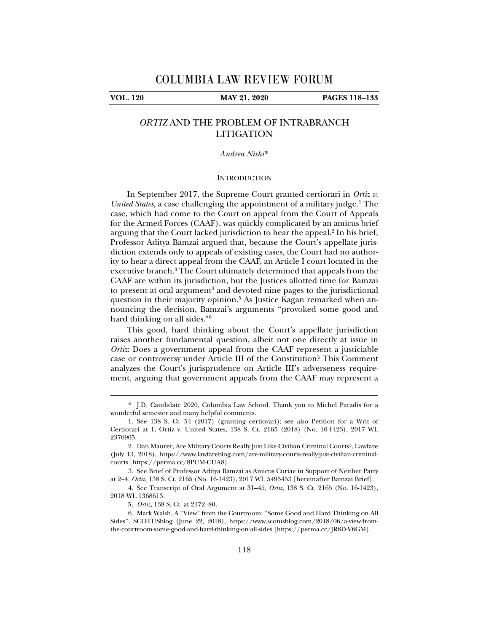**VOL. 120 MAY 21, 2020 PAGES 118–133** 

# *ORTIZ* AND THE PROBLEM OF INTRABRANCH LITIGATION

# *Andrea Nishi* \*

### **INTRODUCTION**

In September 2017, the Supreme Court granted certiorari in *Ortiz v. United States*, a case challenging the appointment of a military judge.<sup>1</sup> The case, which had come to the Court on appeal from the Court of Appeals for the Armed Forces (CAAF), was quickly complicated by an amicus brief arguing that the Court lacked jurisdiction to hear the appeal.<sup>2</sup> In his brief, Professor Aditya Bamzai argued that, because the Court's appellate jurisdiction extends only to appeals of existing cases, the Court had no authority to hear a direct appeal from the CAAF, an Article I court located in the executive branch.<sup>3</sup> The Court ultimately determined that appeals from the CAAF are within its jurisdiction, but the Justices allotted time for Bamzai to present at oral argument $^4$  and devoted nine pages to the jurisdictional question in their majority opinion.<sup>5</sup> As Justice Kagan remarked when announcing the decision, Bamzai's arguments "provoked some good and hard thinking on all sides."6

This good, hard thinking about the Court's appellate jurisdiction raises another fundamental question, albeit not one directly at issue in *Ortiz*: Does a government appeal from the CAAF represent a justiciable case or controversy under Article III of the Constitution? This Comment analyzes the Court's jurisprudence on Article III's adverseness requirement, arguing that government appeals from the CAAF may represent a

 <sup>\*</sup> J.D. Candidate 2020, Columbia Law School. Thank you to Michel Paradis for a wonderful semester and many helpful comments.

 <sup>1.</sup> See 138 S. Ct. 54 (2017) (granting certiorari); see also Petition for a Writ of Certiorari at 1, Ortiz v. United States, 138 S. Ct. 2165 (2018) (No. 16-1423), 2017 WL 2376965.

 <sup>2.</sup> Dan Maurer, Are Military Courts Really Just Like Civilian Criminal Courts?, Lawfare (July 13, 2018), https://www.lawfareblog.com/are-military-courts-really-just-civilian-criminalcourts [https://perma.cc/8PUM-CUA8].

 <sup>3.</sup> See Brief of Professor Aditya Bamzai as Amicus Curiae in Support of Neither Party at 2–4, *Ortiz*, 138 S. Ct. 2165 (No. 16-1423), 2017 WL 5495453 [hereinafter Bamzai Brief].

 <sup>4.</sup> See Transcript of Oral Argument at 31–45, *Ortiz*, 138 S. Ct. 2165 (No. 16-1423), 2018 WL 1368613.

<sup>5</sup>*. Ortiz*, 138 S. Ct. at 2172–80.

 <sup>6.</sup> Mark Walsh, A "View" from the Courtroom: "Some Good and Hard Thinking on All Sides", SCOTUSblog (June 22, 2018), https://www.scotusblog.com/2018/06/a-view-fromthe-courtroom-some-good-and-hard-thinking-on-all-sides [https://perma.cc/JR8D-V6GM].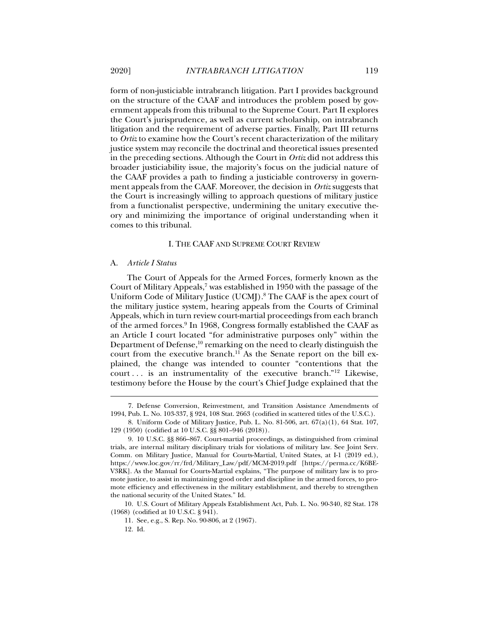form of non-justiciable intrabranch litigation. Part I provides background on the structure of the CAAF and introduces the problem posed by government appeals from this tribunal to the Supreme Court. Part II explores the Court's jurisprudence, as well as current scholarship, on intrabranch litigation and the requirement of adverse parties. Finally, Part III returns to *Ortiz* to examine how the Court's recent characterization of the military justice system may reconcile the doctrinal and theoretical issues presented in the preceding sections. Although the Court in *Ortiz* did not address this broader justiciability issue, the majority's focus on the judicial nature of the CAAF provides a path to finding a justiciable controversy in government appeals from the CAAF. Moreover, the decision in *Ortiz* suggests that the Court is increasingly willing to approach questions of military justice from a functionalist perspective, undermining the unitary executive theory and minimizing the importance of original understanding when it comes to this tribunal.

# I. THE CAAF AND SUPREME COURT REVIEW

#### A. *Article I Status*

The Court of Appeals for the Armed Forces, formerly known as the Court of Military Appeals,<sup>7</sup> was established in 1950 with the passage of the Uniform Code of Military Justice (UCMJ).<sup>8</sup> The CAAF is the apex court of the military justice system, hearing appeals from the Courts of Criminal Appeals, which in turn review court-martial proceedings from each branch of the armed forces.<sup>9</sup> In 1968, Congress formally established the CAAF as an Article I court located "for administrative purposes only" within the Department of Defense,<sup>10</sup> remarking on the need to clearly distinguish the court from the executive branch.<sup>11</sup> As the Senate report on the bill explained, the change was intended to counter "contentions that the court . . . is an instrumentality of the executive branch."12 Likewise, testimony before the House by the court's Chief Judge explained that the

 10. U.S. Court of Military Appeals Establishment Act, Pub. L. No. 90-340, 82 Stat. 178 (1968) (codified at 10 U.S.C. § 941).

 <sup>7.</sup> Defense Conversion, Reinvestment, and Transition Assistance Amendments of 1994, Pub. L. No. 103-337, § 924, 108 Stat. 2663 (codified in scattered titles of the U.S.C.).

 <sup>8.</sup> Uniform Code of Military Justice, Pub. L. No. 81-506, art. 67(a)(1), 64 Stat. 107, 129 (1950) (codified at 10 U.S.C. §§ 801–946 (2018)).

 <sup>9. 10</sup> U.S.C. §§ 866–867. Court-martial proceedings, as distinguished from criminal trials, are internal military disciplinary trials for violations of military law. See Joint Serv. Comm. on Military Justice, Manual for Courts-Martial, United States, at I-1 (2019 ed.), https://www.loc.gov/rr/frd/Military\_Law/pdf/MCM-2019.pdf [https://perma.cc/K6BE-V3RK]. As the Manual for Courts-Martial explains, "The purpose of military law is to promote justice, to assist in maintaining good order and discipline in the armed forces, to promote efficiency and effectiveness in the military establishment, and thereby to strengthen the national security of the United States." Id.

 <sup>11.</sup> See, e.g., S. Rep. No. 90-806, at 2 (1967).

 <sup>12.</sup> Id.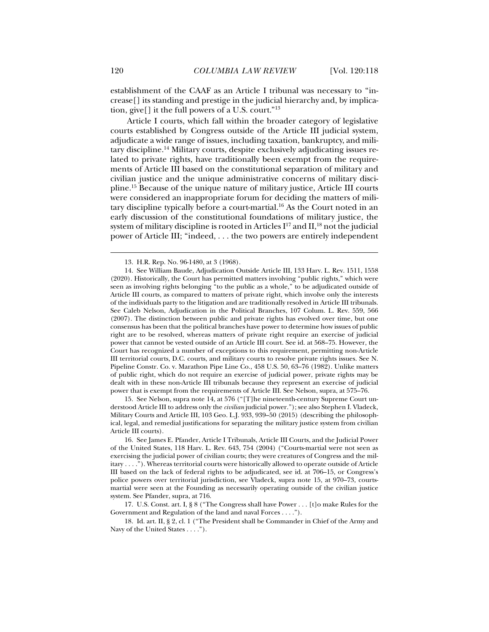establishment of the CAAF as an Article I tribunal was necessary to "increase[] its standing and prestige in the judicial hierarchy and, by implication, give[] it the full powers of a U.S. court."13

Article I courts, which fall within the broader category of legislative courts established by Congress outside of the Article III judicial system, adjudicate a wide range of issues, including taxation, bankruptcy, and military discipline.14 Military courts, despite exclusively adjudicating issues related to private rights, have traditionally been exempt from the requirements of Article III based on the constitutional separation of military and civilian justice and the unique administrative concerns of military discipline.15 Because of the unique nature of military justice, Article III courts were considered an inappropriate forum for deciding the matters of military discipline typically before a court-martial.16 As the Court noted in an early discussion of the constitutional foundations of military justice, the system of military discipline is rooted in Articles  $I^{17}$  and  $II$ ,<sup>18</sup> not the judicial power of Article III; "indeed, . . . the two powers are entirely independent

 15. See Nelson, supra note 14, at 576 ("[T]he nineteenth-century Supreme Court understood Article III to address only the *civilian* judicial power."); see also Stephen I. Vladeck, Military Courts and Article III, 103 Geo. L.J. 933, 939–50 (2015) (describing the philosophical, legal, and remedial justifications for separating the military justice system from civilian Article III courts).

 <sup>13.</sup> H.R. Rep. No. 96-1480, at 3 (1968).

 <sup>14.</sup> See William Baude, Adjudication Outside Article III, 133 Harv. L. Rev. 1511, 1558 (2020). Historically, the Court has permitted matters involving "public rights," which were seen as involving rights belonging "to the public as a whole," to be adjudicated outside of Article III courts, as compared to matters of private right, which involve only the interests of the individuals party to the litigation and are traditionally resolved in Article III tribunals. See Caleb Nelson, Adjudication in the Political Branches, 107 Colum. L. Rev. 559, 566 (2007). The distinction between public and private rights has evolved over time, but one consensus has been that the political branches have power to determine how issues of public right are to be resolved, whereas matters of private right require an exercise of judicial power that cannot be vested outside of an Article III court. See id. at 568–75. However, the Court has recognized a number of exceptions to this requirement, permitting non-Article III territorial courts, D.C. courts, and military courts to resolve private rights issues. See N. Pipeline Constr. Co. v. Marathon Pipe Line Co., 458 U.S. 50, 63–76 (1982). Unlike matters of public right, which do not require an exercise of judicial power, private rights may be dealt with in these non-Article III tribunals because they represent an exercise of judicial power that is exempt from the requirements of Article III. See Nelson, supra, at 575–76.

 <sup>16.</sup> See James E. Pfander, Article I Tribunals, Article III Courts, and the Judicial Power of the United States, 118 Harv. L. Rev. 643, 754 (2004) ("Courts-martial were not seen as exercising the judicial power of civilian courts; they were creatures of Congress and the military . . . ."). Whereas territorial courts were historically allowed to operate outside of Article III based on the lack of federal rights to be adjudicated, see id. at 706–15, or Congress's police powers over territorial jurisdiction, see Vladeck, supra note 15, at 970–73, courtsmartial were seen at the Founding as necessarily operating outside of the civilian justice system. See Pfander, supra, at 716.

 <sup>17.</sup> U.S. Const. art. I, § 8 ("The Congress shall have Power . . . [t]o make Rules for the Government and Regulation of the land and naval Forces . . . .").

 <sup>18.</sup> Id. art. II, § 2, cl. 1 ("The President shall be Commander in Chief of the Army and Navy of the United States . . . .").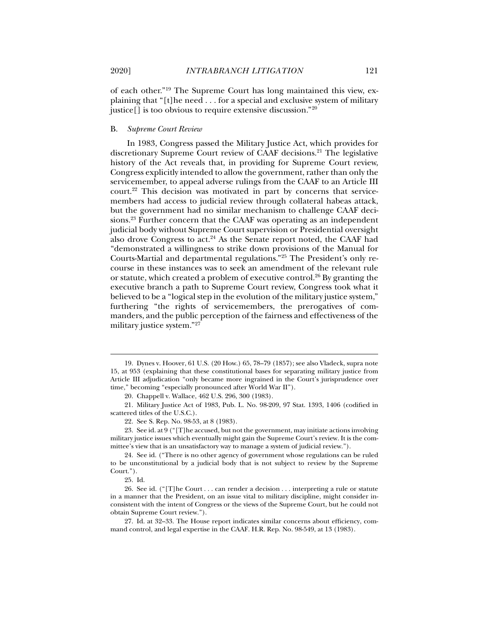of each other."19 The Supreme Court has long maintained this view, explaining that "[t]he need . . . for a special and exclusive system of military justice[] is too obvious to require extensive discussion."20

# B. *Supreme Court Review*

In 1983, Congress passed the Military Justice Act, which provides for discretionary Supreme Court review of CAAF decisions.21 The legislative history of the Act reveals that, in providing for Supreme Court review, Congress explicitly intended to allow the government, rather than only the servicemember, to appeal adverse rulings from the CAAF to an Article III court.22 This decision was motivated in part by concerns that servicemembers had access to judicial review through collateral habeas attack, but the government had no similar mechanism to challenge CAAF decisions.23 Further concern that the CAAF was operating as an independent judicial body without Supreme Court supervision or Presidential oversight also drove Congress to  $act.^{24}$  As the Senate report noted, the CAAF had "demonstrated a willingness to strike down provisions of the Manual for Courts-Martial and departmental regulations."25 The President's only recourse in these instances was to seek an amendment of the relevant rule or statute, which created a problem of executive control.<sup>26</sup> By granting the executive branch a path to Supreme Court review, Congress took what it believed to be a "logical step in the evolution of the military justice system," furthering "the rights of servicemembers, the prerogatives of commanders, and the public perception of the fairness and effectiveness of the military justice system."27

 <sup>19.</sup> Dynes v. Hoover, 61 U.S. (20 How.) 65, 78–79 (1857); see also Vladeck, supra note 15, at 953 (explaining that these constitutional bases for separating military justice from Article III adjudication "only became more ingrained in the Court's jurisprudence over time," becoming "especially pronounced after World War II").

 <sup>20.</sup> Chappell v. Wallace, 462 U.S. 296, 300 (1983).

 <sup>21.</sup> Military Justice Act of 1983, Pub. L. No. 98-209, 97 Stat. 1393, 1406 (codified in scattered titles of the U.S.C.).

 <sup>22.</sup> See S. Rep. No. 98-53, at 8 (1983).

 <sup>23.</sup> See id. at 9 ("[T]he accused, but not the government, may initiate actions involving military justice issues which eventually might gain the Supreme Court's review. It is the committee's view that is an unsatisfactory way to manage a system of judicial review.").

 <sup>24.</sup> See id. ("There is no other agency of government whose regulations can be ruled to be unconstitutional by a judicial body that is not subject to review by the Supreme Court.").

 <sup>25.</sup> Id.

<sup>26.</sup> See id. ("[T]he Court . . . can render a decision . . . interpreting a rule or statute in a manner that the President, on an issue vital to military discipline, might consider inconsistent with the intent of Congress or the views of the Supreme Court, but he could not obtain Supreme Court review.").

 <sup>27.</sup> Id. at 32–33. The House report indicates similar concerns about efficiency, command control, and legal expertise in the CAAF. H.R. Rep. No. 98-549, at 13 (1983).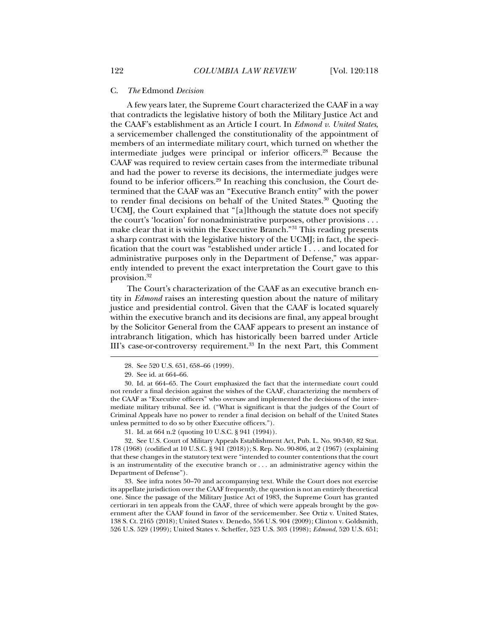#### C. *The* Edmond *Decision*

A few years later, the Supreme Court characterized the CAAF in a way that contradicts the legislative history of both the Military Justice Act and the CAAF's establishment as an Article I court. In *Edmond v. United States*, a servicemember challenged the constitutionality of the appointment of members of an intermediate military court, which turned on whether the intermediate judges were principal or inferior officers.28 Because the CAAF was required to review certain cases from the intermediate tribunal and had the power to reverse its decisions, the intermediate judges were found to be inferior officers.29 In reaching this conclusion, the Court determined that the CAAF was an "Executive Branch entity" with the power to render final decisions on behalf of the United States.30 Quoting the UCMJ, the Court explained that "[a]lthough the statute does not specify the court's 'location' for nonadministrative purposes, other provisions . . . make clear that it is within the Executive Branch."31 This reading presents a sharp contrast with the legislative history of the UCMJ; in fact, the specification that the court was "established under article I . . . and located for administrative purposes only in the Department of Defense," was apparently intended to prevent the exact interpretation the Court gave to this provision.32

The Court's characterization of the CAAF as an executive branch entity in *Edmond* raises an interesting question about the nature of military justice and presidential control. Given that the CAAF is located squarely within the executive branch and its decisions are final, any appeal brought by the Solicitor General from the CAAF appears to present an instance of intrabranch litigation, which has historically been barred under Article III's case-or-controversy requirement.<sup>33</sup> In the next Part, this Comment

 30. Id. at 664–65. The Court emphasized the fact that the intermediate court could not render a final decision against the wishes of the CAAF, characterizing the members of the CAAF as "Executive officers" who oversaw and implemented the decisions of the intermediate military tribunal. See id. ("What is significant is that the judges of the Court of Criminal Appeals have no power to render a final decision on behalf of the United States unless permitted to do so by other Executive officers.").

31. Id. at 664 n.2 (quoting 10 U.S.C. § 941 (1994)).

 32. See U.S. Court of Military Appeals Establishment Act, Pub. L. No. 90-340, 82 Stat. 178 (1968) (codified at 10 U.S.C. § 941 (2018)); S. Rep. No. 90-806, at 2 (1967) (explaining that these changes in the statutory text were "intended to counter contentions that the court is an instrumentality of the executive branch or . . . an administrative agency within the Department of Defense").

 33. See infra notes 50–70 and accompanying text. While the Court does not exercise its appellate jurisdiction over the CAAF frequently, the question is not an entirely theoretical one. Since the passage of the Military Justice Act of 1983, the Supreme Court has granted certiorari in ten appeals from the CAAF, three of which were appeals brought by the government after the CAAF found in favor of the servicemember. See Ortiz v. United States, 138 S. Ct. 2165 (2018); United States v. Denedo, 556 U.S. 904 (2009); Clinton v. Goldsmith, 526 U.S. 529 (1999); United States v. Scheffer, 523 U.S. 303 (1998); *Edmond*, 520 U.S. 651;

 <sup>28.</sup> See 520 U.S. 651, 658–66 (1999).

 <sup>29.</sup> See id. at 664–66.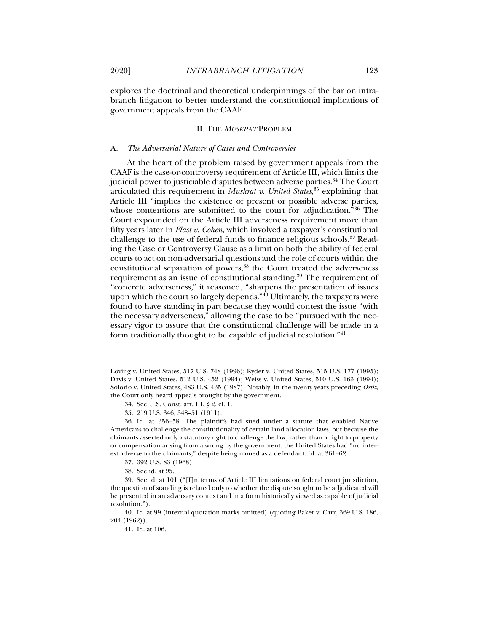explores the doctrinal and theoretical underpinnings of the bar on intrabranch litigation to better understand the constitutional implications of government appeals from the CAAF.

### II. THE *MUSKRAT* PROBLEM

### A. *The Adversarial Nature of Cases and Controversies*

At the heart of the problem raised by government appeals from the CAAF is the case-or-controversy requirement of Article III, which limits the judicial power to justiciable disputes between adverse parties.<sup>34</sup> The Court articulated this requirement in *Muskrat v. United States*, 35 explaining that Article III "implies the existence of present or possible adverse parties, whose contentions are submitted to the court for adjudication."36 The Court expounded on the Article III adverseness requirement more than fifty years later in *Flast v. Cohen*, which involved a taxpayer's constitutional challenge to the use of federal funds to finance religious schools.<sup>37</sup> Reading the Case or Controversy Clause as a limit on both the ability of federal courts to act on non-adversarial questions and the role of courts within the constitutional separation of powers,<sup>38</sup> the Court treated the adverseness requirement as an issue of constitutional standing.<sup>39</sup> The requirement of "concrete adverseness," it reasoned, "sharpens the presentation of issues upon which the court so largely depends."40 Ultimately, the taxpayers were found to have standing in part because they would contest the issue "with the necessary adverseness," allowing the case to be "pursued with the necessary vigor to assure that the constitutional challenge will be made in a form traditionally thought to be capable of judicial resolution."41

Loving v. United States, 517 U.S. 748 (1996); Ryder v. United States, 515 U.S. 177 (1995); Davis v. United States, 512 U.S. 452 (1994); Weiss v. United States, 510 U.S. 163 (1994); Solorio v. United States, 483 U.S. 435 (1987). Notably, in the twenty years preceding *Ortiz*, the Court only heard appeals brought by the government.

 <sup>34.</sup> See U.S. Const. art. III, § 2, cl. 1.

 <sup>35. 219</sup> U.S. 346, 348–51 (1911).

 <sup>36.</sup> Id. at 356–58. The plaintiffs had sued under a statute that enabled Native Americans to challenge the constitutionality of certain land allocation laws, but because the claimants asserted only a statutory right to challenge the law, rather than a right to property or compensation arising from a wrong by the government, the United States had "no interest adverse to the claimants," despite being named as a defendant. Id. at 361–62.

 <sup>37. 392</sup> U.S. 83 (1968).

 <sup>38.</sup> See id. at 95.

 <sup>39.</sup> See id. at 101 ("[I]n terms of Article III limitations on federal court jurisdiction, the question of standing is related only to whether the dispute sought to be adjudicated will be presented in an adversary context and in a form historically viewed as capable of judicial resolution.").

 <sup>40.</sup> Id. at 99 (internal quotation marks omitted) (quoting Baker v. Carr, 369 U.S. 186, 204 (1962)).

 <sup>41.</sup> Id. at 106.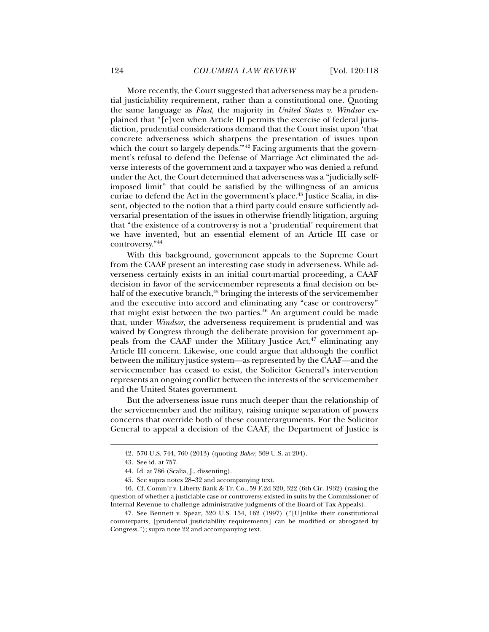More recently, the Court suggested that adverseness may be a prudential justiciability requirement, rather than a constitutional one. Quoting the same language as *Flast*, the majority in *United States v. Windsor* explained that "[e]ven when Article III permits the exercise of federal jurisdiction, prudential considerations demand that the Court insist upon 'that concrete adverseness which sharpens the presentation of issues upon which the court so largely depends."<sup>42</sup> Facing arguments that the government's refusal to defend the Defense of Marriage Act eliminated the adverse interests of the government and a taxpayer who was denied a refund under the Act, the Court determined that adverseness was a "judicially selfimposed limit" that could be satisfied by the willingness of an amicus curiae to defend the Act in the government's place.<sup>43</sup> Justice Scalia, in dissent, objected to the notion that a third party could ensure sufficiently adversarial presentation of the issues in otherwise friendly litigation, arguing that "the existence of a controversy is not a 'prudential' requirement that we have invented, but an essential element of an Article III case or controversy."44

With this background, government appeals to the Supreme Court from the CAAF present an interesting case study in adverseness. While adverseness certainly exists in an initial court-martial proceeding, a CAAF decision in favor of the servicemember represents a final decision on behalf of the executive branch,<sup>45</sup> bringing the interests of the servicemember and the executive into accord and eliminating any "case or controversy" that might exist between the two parties. $46$  An argument could be made that, under *Windsor*, the adverseness requirement is prudential and was waived by Congress through the deliberate provision for government appeals from the CAAF under the Military Justice Act,<sup>47</sup> eliminating any Article III concern. Likewise, one could argue that although the conflict between the military justice system—as represented by the CAAF—and the servicemember has ceased to exist, the Solicitor General's intervention represents an ongoing conflict between the interests of the servicemember and the United States government.

But the adverseness issue runs much deeper than the relationship of the servicemember and the military, raising unique separation of powers concerns that override both of these counterarguments. For the Solicitor General to appeal a decision of the CAAF, the Department of Justice is

 <sup>42. 570</sup> U.S. 744, 760 (2013) (quoting *Baker*, 369 U.S. at 204).

 <sup>43.</sup> See id. at 757.

 <sup>44.</sup> Id. at 786 (Scalia, J., dissenting).

 <sup>45.</sup> See supra notes 28–32 and accompanying text.

 <sup>46.</sup> Cf. Comm'r v. Liberty Bank & Tr. Co., 59 F.2d 320, 322 (6th Cir. 1932) (raising the question of whether a justiciable case or controversy existed in suits by the Commissioner of Internal Revenue to challenge administrative judgments of the Board of Tax Appeals).

 <sup>47.</sup> See Bennett v. Spear, 520 U.S. 154, 162 (1997) ("[U]nlike their constitutional counterparts, [prudential justiciability requirements] can be modified or abrogated by Congress."); supra note 22 and accompanying text.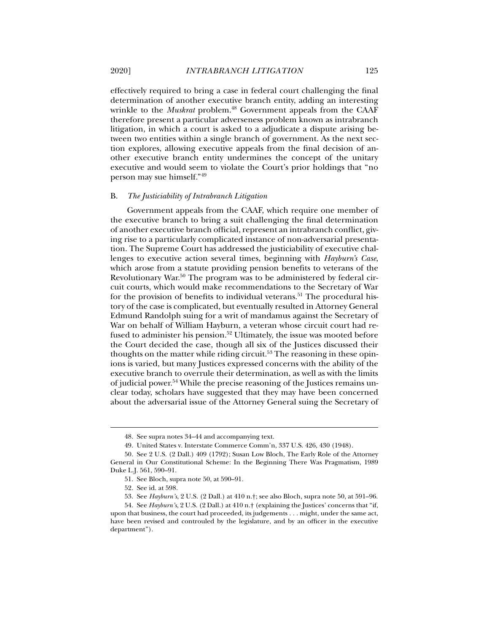effectively required to bring a case in federal court challenging the final determination of another executive branch entity, adding an interesting wrinkle to the *Muskrat* problem.<sup>48</sup> Government appeals from the CAAF therefore present a particular adverseness problem known as intrabranch litigation, in which a court is asked to a adjudicate a dispute arising between two entities within a single branch of government. As the next section explores, allowing executive appeals from the final decision of another executive branch entity undermines the concept of the unitary executive and would seem to violate the Court's prior holdings that "no person may sue himself."49

#### B. *The Justiciability of Intrabranch Litigation*

Government appeals from the CAAF, which require one member of the executive branch to bring a suit challenging the final determination of another executive branch official, represent an intrabranch conflict, giving rise to a particularly complicated instance of non-adversarial presentation. The Supreme Court has addressed the justiciability of executive challenges to executive action several times, beginning with *Hayburn's Case*, which arose from a statute providing pension benefits to veterans of the Revolutionary War.50 The program was to be administered by federal circuit courts, which would make recommendations to the Secretary of War for the provision of benefits to individual veterans.<sup>51</sup> The procedural history of the case is complicated, but eventually resulted in Attorney General Edmund Randolph suing for a writ of mandamus against the Secretary of War on behalf of William Hayburn, a veteran whose circuit court had refused to administer his pension.<sup>52</sup> Ultimately, the issue was mooted before the Court decided the case, though all six of the Justices discussed their thoughts on the matter while riding circuit.<sup>53</sup> The reasoning in these opinions is varied, but many Justices expressed concerns with the ability of the executive branch to overrule their determination, as well as with the limits of judicial power.54 While the precise reasoning of the Justices remains unclear today, scholars have suggested that they may have been concerned about the adversarial issue of the Attorney General suing the Secretary of

 <sup>48.</sup> See supra notes 34–44 and accompanying text.

 <sup>49.</sup> United States v. Interstate Commerce Comm'n, 337 U.S. 426, 430 (1948).

 <sup>50.</sup> See 2 U.S. (2 Dall.) 409 (1792); Susan Low Bloch, The Early Role of the Attorney General in Our Constitutional Scheme: In the Beginning There Was Pragmatism, 1989 Duke L.J. 561, 590–91.

 <sup>51.</sup> See Bloch, supra note 50, at 590–91.

 <sup>52.</sup> See id. at 598.

 <sup>53.</sup> See *Hayburn's*, 2 U.S. (2 Dall.) at 410 n.†; see also Bloch, supra note 50, at 591–96.

 <sup>54.</sup> See *Hayburn's*, 2 U.S. (2 Dall.) at 410 n.† (explaining the Justices' concerns that "if, upon that business, the court had proceeded, its judgements . . . might, under the same act, have been revised and controuled by the legislature, and by an officer in the executive department").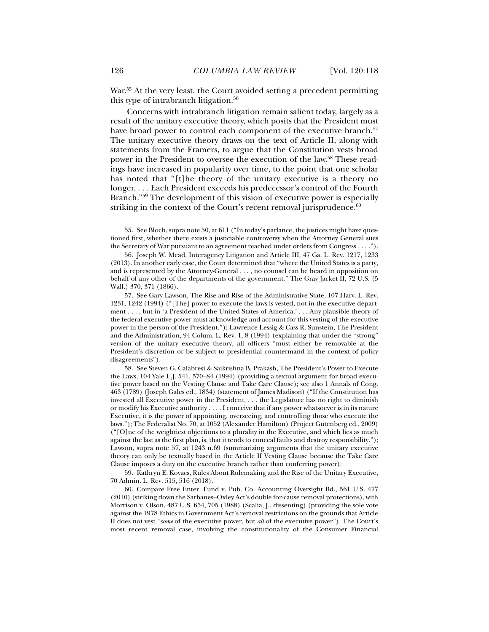War.<sup>55</sup> At the very least, the Court avoided setting a precedent permitting this type of intrabranch litigation.<sup>56</sup>

Concerns with intrabranch litigation remain salient today, largely as a result of the unitary executive theory, which posits that the President must have broad power to control each component of the executive branch.<sup>57</sup> The unitary executive theory draws on the text of Article II, along with statements from the Framers, to argue that the Constitution vests broad power in the President to oversee the execution of the law.58 These readings have increased in popularity over time, to the point that one scholar has noted that "[t]he theory of the unitary executive is a theory no longer. . . . Each President exceeds his predecessor's control of the Fourth Branch."<sup>59</sup> The development of this vision of executive power is especially striking in the context of the Court's recent removal jurisprudence. $60$ 

 58. See Steven G. Calabresi & Saikrishna B. Prakash, The President's Power to Execute the Laws, 104 Yale L.J. 541, 570–84 (1994) (providing a textual argument for broad executive power based on the Vesting Clause and Take Care Clause); see also 1 Annals of Cong. 463 (1789) (Joseph Gales ed., 1834) (statement of James Madison) ("If the Constitution has invested all Executive power in the President, . . . the Legislature has no right to diminish or modify his Executive authority . . . . I conceive that if any power whatsoever is in its nature Executive, it is the power of appointing, overseeing, and controlling those who execute the laws."); The Federalist No. 70, at 1052 (Alexander Hamilton) (Project Gutenberg ed., 2009) ("[O]ne of the weightiest objections to a plurality in the Executive, and which lies as much against the last as the first plan, is, that it tends to conceal faults and destroy responsibility."); Lawson, supra note 57, at 1243 n.69 (summarizing arguments that the unitary executive theory can only be textually based in the Article II Vesting Clause because the Take Care Clause imposes a duty on the executive branch rather than conferring power).

 59. Kathryn E. Kovacs, Rules About Rulemaking and the Rise of the Unitary Executive, 70 Admin. L. Rev. 515, 516 (2018).

 60. Compare Free Enter. Fund v. Pub. Co. Accounting Oversight Bd., 561 U.S. 477 (2010) (striking down the Sarbanes–Oxley Act's double for-cause removal protections), with Morrison v. Olson, 487 U.S. 654, 705 (1988) (Scalia, J., dissenting) (providing the sole vote against the 1978 Ethics in Government Act's removal restrictions on the grounds that Article II does not vest "*some* of the executive power, but *all* of the executive power"). The Court's most recent removal case, involving the constitutionality of the Consumer Financial

 <sup>55.</sup> See Bloch, supra note 50, at 611 ("In today's parlance, the justices might have questioned first, whether there exists a justiciable controversy when the Attorney General sues the Secretary of War pursuant to an agreement reached under orders from Congress . . . .").

 <sup>56.</sup> Joseph W. Mead, Interagency Litigation and Article III, 47 Ga. L. Rev. 1217, 1233 (2013). In another early case, the Court determined that "where the United States is a party, and is represented by the Attorney-General . . . , no counsel can be heard in opposition on behalf of any other of the departments of the government." The Gray Jacket II, 72 U.S. (5 Wall.) 370, 371 (1866).

 <sup>57.</sup> See Gary Lawson, The Rise and Rise of the Administrative State, 107 Harv. L. Rev. 1231, 1242 (1994) ("[The] power to execute the laws is vested, not in the executive department . . . , but in 'a President of the United States of America.' . . . Any plausible theory of the federal executive power must acknowledge and account for this vesting of the executive power in the person of the President."); Lawrence Lessig & Cass R. Sunstein, The President and the Administration, 94 Colum. L. Rev. 1, 8 (1994) (explaining that under the "strong" version of the unitary executive theory, all officers "must either be removable at the President's discretion or be subject to presidential countermand in the context of policy disagreements").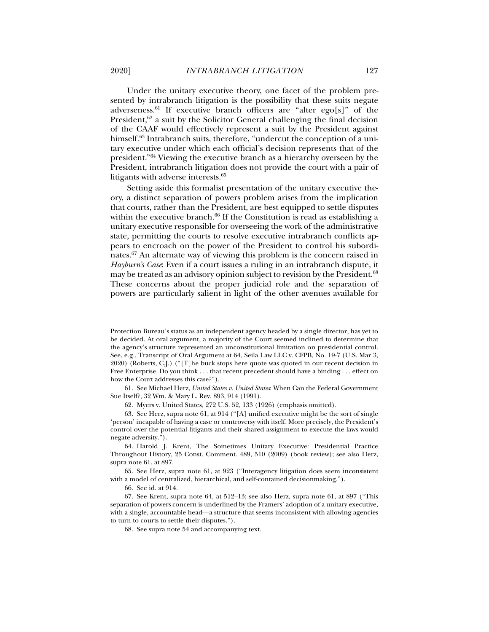Under the unitary executive theory, one facet of the problem presented by intrabranch litigation is the possibility that these suits negate adverseness.61 If executive branch officers are "alter ego[s]" of the President,<sup>62</sup> a suit by the Solicitor General challenging the final decision of the CAAF would effectively represent a suit by the President against himself.<sup>63</sup> Intrabranch suits, therefore, "undercut the conception of a unitary executive under which each official's decision represents that of the president."64 Viewing the executive branch as a hierarchy overseen by the President, intrabranch litigation does not provide the court with a pair of litigants with adverse interests.<sup>65</sup>

Setting aside this formalist presentation of the unitary executive theory, a distinct separation of powers problem arises from the implication that courts, rather than the President, are best equipped to settle disputes within the executive branch.<sup>66</sup> If the Constitution is read as establishing a unitary executive responsible for overseeing the work of the administrative state, permitting the courts to resolve executive intrabranch conflicts appears to encroach on the power of the President to control his subordinates.67 An alternate way of viewing this problem is the concern raised in *Hayburn's Case*: Even if a court issues a ruling in an intrabranch dispute, it may be treated as an advisory opinion subject to revision by the President.<sup>68</sup> These concerns about the proper judicial role and the separation of powers are particularly salient in light of the other avenues available for

 61. See Michael Herz, *United States v. United States*: When Can the Federal Government Sue Itself?, 32 Wm. & Mary L. Rev. 893, 914 (1991).

62. Myers v. United States, 272 U.S. 52, 133 (1926) (emphasis omitted).

66. See id. at 914.

Protection Bureau's status as an independent agency headed by a single director, has yet to be decided. At oral argument, a majority of the Court seemed inclined to determine that the agency's structure represented an unconstitutional limitation on presidential control. See, e.g., Transcript of Oral Argument at 64, Seila Law LLC v. CFPB, No. 19-7 (U.S. Mar 3, 2020) (Roberts, C.J.) ("[T]he buck stops here quote was quoted in our recent decision in Free Enterprise. Do you think . . . that recent precedent should have a binding . . . effect on how the Court addresses this case?").

 <sup>63.</sup> See Herz, supra note 61, at 914 ("[A] unified executive might be the sort of single 'person' incapable of having a case or controversy with itself. More precisely, the President's control over the potential litigants and their shared assignment to execute the laws would negate adversity.").

 <sup>64.</sup> Harold J. Krent, The Sometimes Unitary Executive: Presidential Practice Throughout History, 25 Const. Comment. 489, 510 (2009) (book review); see also Herz, supra note 61, at 897.

 <sup>65.</sup> See Herz, supra note 61, at 923 ("Interagency litigation does seem inconsistent with a model of centralized, hierarchical, and self-contained decisionmaking.").

 <sup>67.</sup> See Krent, supra note 64, at 512–13; see also Herz, supra note 61, at 897 ("This separation of powers concern is underlined by the Framers' adoption of a unitary executive, with a single, accountable head—a structure that seems inconsistent with allowing agencies to turn to courts to settle their disputes.").

 <sup>68.</sup> See supra note 54 and accompanying text.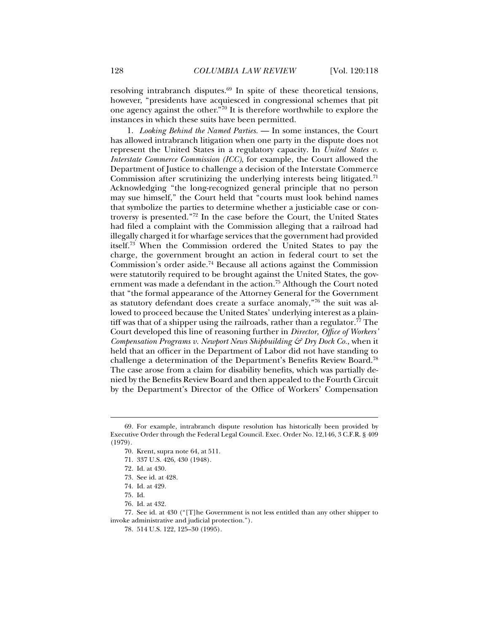resolving intrabranch disputes.<sup>69</sup> In spite of these theoretical tensions, however, "presidents have acquiesced in congressional schemes that pit one agency against the other."70 It is therefore worthwhile to explore the instances in which these suits have been permitted.

1. *Looking Behind the Named Parties.* — In some instances, the Court has allowed intrabranch litigation when one party in the dispute does not represent the United States in a regulatory capacity. In *United States v. Interstate Commerce Commission (ICC)*, for example, the Court allowed the Department of Justice to challenge a decision of the Interstate Commerce Commission after scrutinizing the underlying interests being litigated.<sup>71</sup> Acknowledging "the long-recognized general principle that no person may sue himself," the Court held that "courts must look behind names that symbolize the parties to determine whether a justiciable case or controversy is presented."72 In the case before the Court, the United States had filed a complaint with the Commission alleging that a railroad had illegally charged it for wharfage services that the government had provided itself.73 When the Commission ordered the United States to pay the charge, the government brought an action in federal court to set the Commission's order aside.74 Because all actions against the Commission were statutorily required to be brought against the United States, the government was made a defendant in the action.<sup>75</sup> Although the Court noted that "the formal appearance of the Attorney General for the Government as statutory defendant does create a surface anomaly,"76 the suit was allowed to proceed because the United States' underlying interest as a plaintiff was that of a shipper using the railroads, rather than a regulator.<sup>77</sup> The Court developed this line of reasoning further in *Director, Office of Workers' Compensation Programs v. Newport News Shipbuilding & Dry Dock Co.*, when it held that an officer in the Department of Labor did not have standing to challenge a determination of the Department's Benefits Review Board.78 The case arose from a claim for disability benefits, which was partially denied by the Benefits Review Board and then appealed to the Fourth Circuit by the Department's Director of the Office of Workers' Compensation

 77. See id. at 430 ("[T]he Government is not less entitled than any other shipper to invoke administrative and judicial protection.").

 <sup>69.</sup> For example, intrabranch dispute resolution has historically been provided by Executive Order through the Federal Legal Council. Exec. Order No. 12,146, 3 C.F.R. § 409 (1979).

 <sup>70.</sup> Krent, supra note 64, at 511.

 <sup>71. 337</sup> U.S. 426, 430 (1948).

 <sup>72.</sup> Id. at 430.

 <sup>73.</sup> See id. at 428.

 <sup>74.</sup> Id. at 429.

 <sup>75.</sup> Id.

 <sup>76.</sup> Id. at 432.

 <sup>78. 514</sup> U.S. 122, 125–30 (1995).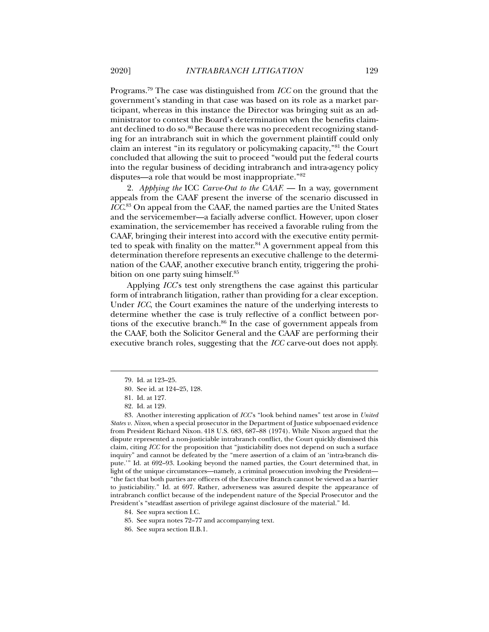Programs.79 The case was distinguished from *ICC* on the ground that the government's standing in that case was based on its role as a market participant, whereas in this instance the Director was bringing suit as an administrator to contest the Board's determination when the benefits claimant declined to do so.<sup>80</sup> Because there was no precedent recognizing standing for an intrabranch suit in which the government plaintiff could only claim an interest "in its regulatory or policymaking capacity,"81 the Court concluded that allowing the suit to proceed "would put the federal courts into the regular business of deciding intrabranch and intra-agency policy disputes—a role that would be most inappropriate."82

2. *Applying the* ICC *Carve-Out to the CAAF.* — In a way, government appeals from the CAAF present the inverse of the scenario discussed in *ICC*. 83 On appeal from the CAAF, the named parties are the United States and the servicemember—a facially adverse conflict. However, upon closer examination, the servicemember has received a favorable ruling from the CAAF, bringing their interest into accord with the executive entity permitted to speak with finality on the matter. $84$  A government appeal from this determination therefore represents an executive challenge to the determination of the CAAF, another executive branch entity, triggering the prohibition on one party suing himself.<sup>85</sup>

Applying *ICC*'s test only strengthens the case against this particular form of intrabranch litigation, rather than providing for a clear exception. Under *ICC*, the Court examines the nature of the underlying interests to determine whether the case is truly reflective of a conflict between portions of the executive branch.86 In the case of government appeals from the CAAF, both the Solicitor General and the CAAF are performing their executive branch roles, suggesting that the *ICC* carve-out does not apply.

 <sup>79.</sup> Id. at 123–25.

 <sup>80.</sup> See id. at 124–25, 128.

 <sup>81.</sup> Id. at 127.

 <sup>82.</sup> Id. at 129.

 <sup>83.</sup> Another interesting application of *ICC*'s "look behind names" test arose in *United States v. Nixon*, when a special prosecutor in the Department of Justice subpoenaed evidence from President Richard Nixon. 418 U.S. 683, 687–88 (1974). While Nixon argued that the dispute represented a non-justiciable intrabranch conflict, the Court quickly dismissed this claim, citing *ICC* for the proposition that "justiciability does not depend on such a surface inquiry" and cannot be defeated by the "mere assertion of a claim of an 'intra-branch dispute.'" Id. at 692–93. Looking beyond the named parties, the Court determined that, in light of the unique circumstances—namely, a criminal prosecution involving the President— "the fact that both parties are officers of the Executive Branch cannot be viewed as a barrier to justiciability." Id. at 697. Rather, adverseness was assured despite the appearance of intrabranch conflict because of the independent nature of the Special Prosecutor and the President's "steadfast assertion of privilege against disclosure of the material." Id.

 <sup>84.</sup> See supra section I.C.

 <sup>85.</sup> See supra notes 72–77 and accompanying text.

 <sup>86.</sup> See supra section II.B.1.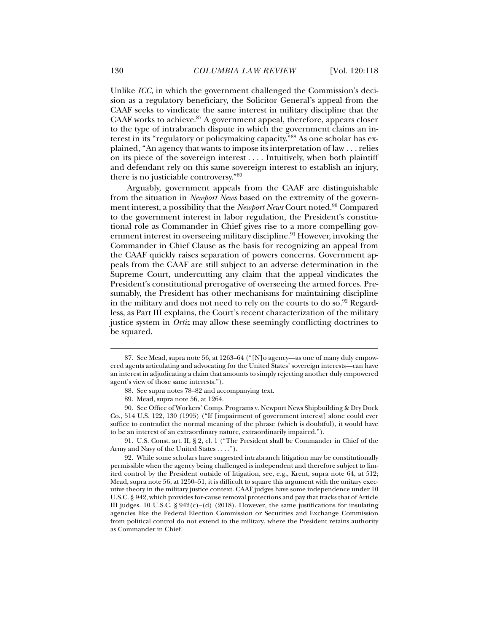Unlike *ICC*, in which the government challenged the Commission's decision as a regulatory beneficiary, the Solicitor General's appeal from the CAAF seeks to vindicate the same interest in military discipline that the CAAF works to achieve.<sup>87</sup> A government appeal, therefore, appears closer to the type of intrabranch dispute in which the government claims an interest in its "regulatory or policymaking capacity."88 As one scholar has explained, "An agency that wants to impose its interpretation of law . . . relies on its piece of the sovereign interest . . . . Intuitively, when both plaintiff and defendant rely on this same sovereign interest to establish an injury, there is no justiciable controversy."89

Arguably, government appeals from the CAAF are distinguishable from the situation in *Newport News* based on the extremity of the government interest, a possibility that the *Newport News* Court noted.<sup>90</sup> Compared to the government interest in labor regulation, the President's constitutional role as Commander in Chief gives rise to a more compelling government interest in overseeing military discipline.<sup>91</sup> However, invoking the Commander in Chief Clause as the basis for recognizing an appeal from the CAAF quickly raises separation of powers concerns. Government appeals from the CAAF are still subject to an adverse determination in the Supreme Court, undercutting any claim that the appeal vindicates the President's constitutional prerogative of overseeing the armed forces. Presumably, the President has other mechanisms for maintaining discipline in the military and does not need to rely on the courts to do so.<sup>92</sup> Regardless, as Part III explains, the Court's recent characterization of the military justice system in *Ortiz* may allow these seemingly conflicting doctrines to be squared.

 91. U.S. Const. art. II, § 2, cl. 1 ("The President shall be Commander in Chief of the Army and Navy of the United States . . . .").

 <sup>87.</sup> See Mead, supra note 56, at 1263–64 ("[N]o agency—as one of many duly empowered agents articulating and advocating for the United States' sovereign interests—can have an interest in adjudicating a claim that amounts to simply rejecting another duly empowered agent's view of those same interests.").

 <sup>88.</sup> See supra notes 78–82 and accompanying text.

 <sup>89.</sup> Mead, supra note 56, at 1264.

 <sup>90.</sup> See Office of Workers' Comp. Programs v. Newport News Shipbuilding & Dry Dock Co., 514 U.S. 122, 130 (1995) ("If [impairment of government interest] alone could ever suffice to contradict the normal meaning of the phrase (which is doubtful), it would have to be an interest of an extraordinary nature, extraordinarily impaired.").

 <sup>92.</sup> While some scholars have suggested intrabranch litigation may be constitutionally permissible when the agency being challenged is independent and therefore subject to limited control by the President outside of litigation, see, e.g., Krent, supra note 64, at 512; Mead, supra note 56, at 1250–51, it is difficult to square this argument with the unitary executive theory in the military justice context. CAAF judges have some independence under 10 U.S.C. § 942, which provides for-cause removal protections and pay that tracks that of Article III judges. 10 U.S.C.  $\S 942(c) - (d)$  (2018). However, the same justifications for insulating agencies like the Federal Election Commission or Securities and Exchange Commission from political control do not extend to the military, where the President retains authority as Commander in Chief.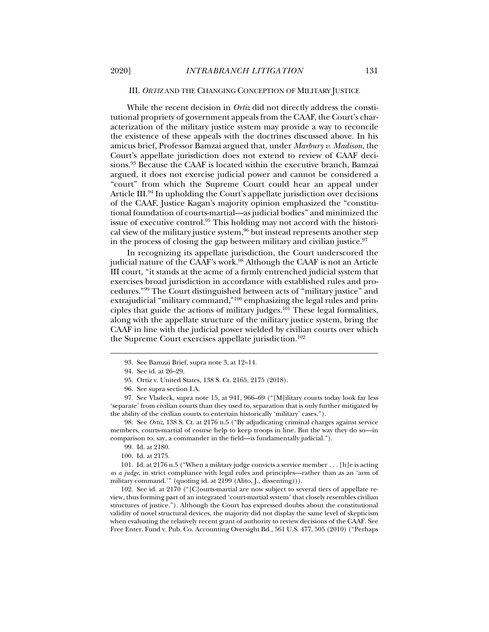# III. *ORTIZ* AND THE CHANGING CONCEPTION OF MILITARY JUSTICE

While the recent decision in *Ortiz* did not directly address the constitutional propriety of government appeals from the CAAF, the Court's characterization of the military justice system may provide a way to reconcile the existence of these appeals with the doctrines discussed above. In his amicus brief, Professor Bamzai argued that, under *Marbury v. Madison*, the Court's appellate jurisdiction does not extend to review of CAAF decisions.93 Because the CAAF is located within the executive branch, Bamzai argued, it does not exercise judicial power and cannot be considered a "court" from which the Supreme Court could hear an appeal under Article III.<sup>94</sup> In upholding the Court's appellate jurisdiction over decisions of the CAAF, Justice Kagan's majority opinion emphasized the "constitutional foundation of courts-martial—as judicial bodies" and minimized the issue of executive control.95 This holding may not accord with the historical view of the military justice system,<sup>96</sup> but instead represents another step in the process of closing the gap between military and civilian justice. $97$ 

In recognizing its appellate jurisdiction, the Court underscored the judicial nature of the CAAF's work.<sup>98</sup> Although the CAAF is not an Article III court, "it stands at the acme of a firmly entrenched judicial system that exercises broad jurisdiction in accordance with established rules and procedures."99 The Court distinguished between acts of "military justice" and extrajudicial "military command,"100 emphasizing the legal rules and principles that guide the actions of military judges.101 These legal formalities, along with the appellate structure of the military justice system, bring the CAAF in line with the judicial power wielded by civilian courts over which the Supreme Court exercises appellate jurisdiction.<sup>102</sup>

 98. See *Ortiz*, 138 S. Ct. at 2176 n.5 ("By adjudicating criminal charges against service members, courts-martial of course help to keep troops in line. But the way they do so—in comparison to, say, a commander in the field—is fundamentally judicial.").

99. Id. at 2180.

 102. See id. at 2170 ("[C]ourts-martial are now subject to several tiers of appellate review, thus forming part of an integrated 'court-martial system' that closely resembles civilian structures of justice."). Although the Court has expressed doubts about the constitutional validity of novel structural devices, the majority did not display the same level of skepticism when evaluating the relatively recent grant of authority to review decisions of the CAAF. See Free Enter. Fund v. Pub. Co. Accounting Oversight Bd., 561 U.S. 477, 505 (2010) ("Perhaps

 <sup>93.</sup> See Bamzai Brief, supra note 3, at 12–14.

 <sup>94.</sup> See id. at 26–29.

 <sup>95.</sup> Ortiz v. United States, 138 S. Ct. 2165, 2175 (2018).

 <sup>96.</sup> See supra section I.A.

 <sup>97.</sup> See Vladeck, supra note 15, at 941, 966–69 ("[M]ilitary courts today look far less 'separate' from civilian courts than they used to, separation that is only further mitigated by the ability of the civilian courts to entertain historically 'military' cases.").

 <sup>100.</sup> Id. at 2175.

 <sup>101.</sup> Id. at 2176 n.5 ("When a military judge convicts a service member . . . [h]e is acting *as a judge*, in strict compliance with legal rules and principles—rather than as an 'arm of military command.'" (quoting id. at 2199 (Alito, J., dissenting))).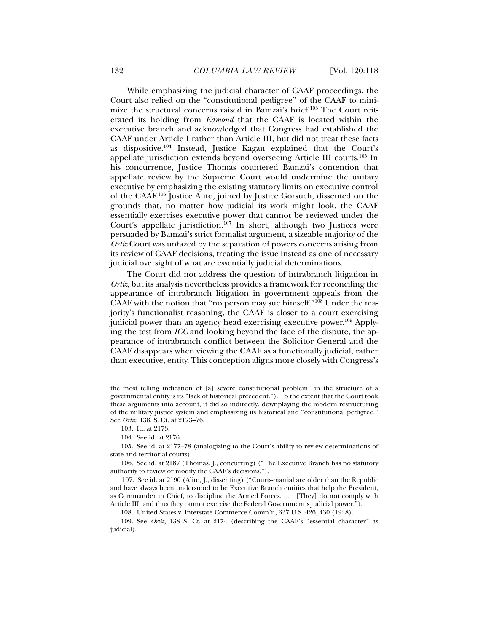While emphasizing the judicial character of CAAF proceedings, the Court also relied on the "constitutional pedigree" of the CAAF to minimize the structural concerns raised in Bamzai's brief.103 The Court reiterated its holding from *Edmond* that the CAAF is located within the executive branch and acknowledged that Congress had established the CAAF under Article I rather than Article III, but did not treat these facts as dispositive.104 Instead, Justice Kagan explained that the Court's appellate jurisdiction extends beyond overseeing Article III courts.105 In his concurrence, Justice Thomas countered Bamzai's contention that appellate review by the Supreme Court would undermine the unitary executive by emphasizing the existing statutory limits on executive control of the CAAF.106 Justice Alito, joined by Justice Gorsuch, dissented on the grounds that, no matter how judicial its work might look, the CAAF essentially exercises executive power that cannot be reviewed under the Court's appellate jurisdiction.<sup>107</sup> In short, although two Justices were persuaded by Bamzai's strict formalist argument, a sizeable majority of the *Ortiz* Court was unfazed by the separation of powers concerns arising from its review of CAAF decisions, treating the issue instead as one of necessary judicial oversight of what are essentially judicial determinations.

The Court did not address the question of intrabranch litigation in *Ortiz*, but its analysis nevertheless provides a framework for reconciling the appearance of intrabranch litigation in government appeals from the CAAF with the notion that "no person may sue himself."<sup>108</sup> Under the majority's functionalist reasoning, the CAAF is closer to a court exercising judicial power than an agency head exercising executive power.<sup>109</sup> Applying the test from *ICC* and looking beyond the face of the dispute, the appearance of intrabranch conflict between the Solicitor General and the CAAF disappears when viewing the CAAF as a functionally judicial, rather than executive, entity. This conception aligns more closely with Congress's

 106. See id. at 2187 (Thomas, J., concurring) ("The Executive Branch has no statutory authority to review or modify the CAAF's decisions.").

107. See id. at 2190 (Alito, J., dissenting) ("Courts-martial are older than the Republic and have always been understood to be Executive Branch entities that help the President, as Commander in Chief, to discipline the Armed Forces. . . . [They] do not comply with Article III, and thus they cannot exercise the Federal Government's judicial power.").

108*.* United States v. Interstate Commerce Comm'n, 337 U.S. 426, 430 (1948).

 109. See *Ortiz*, 138 S. Ct. at 2174 (describing the CAAF's "essential character" as judicial).

the most telling indication of [a] severe constitutional problem" in the structure of a governmental entity is its "lack of historical precedent."). To the extent that the Court took these arguments into account, it did so indirectly, downplaying the modern restructuring of the military justice system and emphasizing its historical and "constitutional pedigree." See *Ortiz*, 138. S. Ct. at 2173–76.

 <sup>103.</sup> Id. at 2173.

 <sup>104.</sup> See id. at 2176.

 <sup>105.</sup> See id. at 2177–78 (analogizing to the Court's ability to review determinations of state and territorial courts).